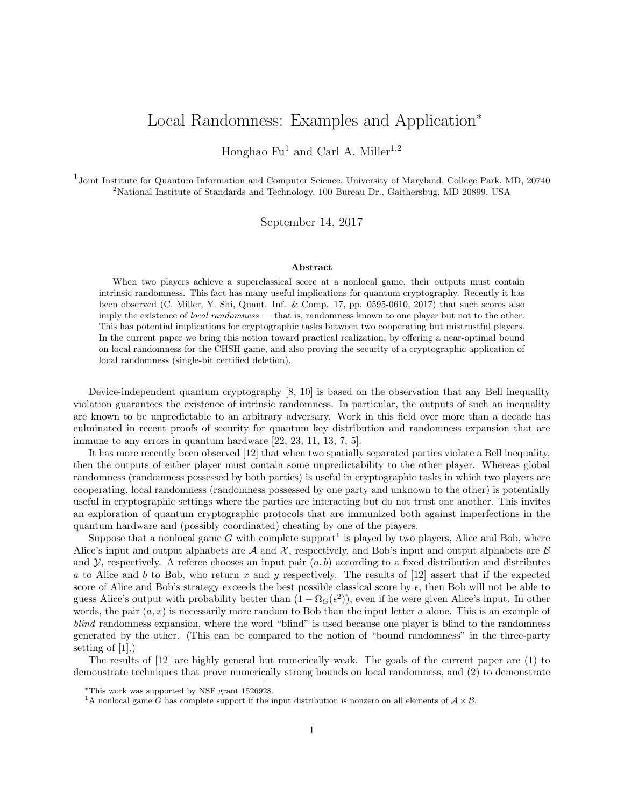# Local Randomness: Examples and Application<sup>∗</sup>

Honghao  $Fu<sup>1</sup>$  and Carl A. Miller<sup>1,2</sup>

<sup>1</sup>Joint Institute for Quantum Information and Computer Science, University of Maryland, College Park, MD, 20740 <sup>2</sup>National Institute of Standards and Technology, 100 Bureau Dr., Gaithersbug, MD 20899, USA

September 14, 2017

### Abstract

When two players achieve a superclassical score at a nonlocal game, their outputs must contain intrinsic randomness. This fact has many useful implications for quantum cryptography. Recently it has been observed (C. Miller, Y. Shi, Quant. Inf. & Comp. 17, pp. 0595-0610, 2017) that such scores also imply the existence of *local randomness* — that is, randomness known to one player but not to the other. This has potential implications for cryptographic tasks between two cooperating but mistrustful players. In the current paper we bring this notion toward practical realization, by offering a near-optimal bound on local randomness for the CHSH game, and also proving the security of a cryptographic application of local randomness (single-bit certified deletion).

Device-independent quantum cryptography [8, 10] is based on the observation that any Bell inequality violation guarantees the existence of intrinsic randomness. In particular, the outputs of such an inequality are known to be unpredictable to an arbitrary adversary. Work in this field over more than a decade has culminated in recent proofs of security for quantum key distribution and randomness expansion that are immune to any errors in quantum hardware [22, 23, 11, 13, 7, 5].

It has more recently been observed [12] that when two spatially separated parties violate a Bell inequality, then the outputs of either player must contain some unpredictability to the other player. Whereas global randomness (randomness possessed by both parties) is useful in cryptographic tasks in which two players are cooperating, local randomness (randomness possessed by one party and unknown to the other) is potentially useful in cryptographic settings where the parties are interacting but do not trust one another. This invites an exploration of quantum cryptographic protocols that are immunized both against imperfections in the quantum hardware and (possibly coordinated) cheating by one of the players.

Suppose that a nonlocal game  $G$  with complete support<sup>1</sup> is played by two players, Alice and Bob, where Alice's input and output alphabets are  $\mathcal A$  and  $\mathcal X$ , respectively, and Bob's input and output alphabets are  $\mathcal B$ and  $\mathcal Y$ , respectively. A referee chooses an input pair  $(a, b)$  according to a fixed distribution and distributes a to Alice and b to Bob, who return x and y respectively. The results of  $[12]$  assert that if the expected score of Alice and Bob's strategy exceeds the best possible classical score by  $\epsilon$ , then Bob will not be able to guess Alice's output with probability better than  $(1 - \Omega_G(\epsilon^2))$ , even if he were given Alice's input. In other words, the pair  $(a, x)$  is necessarily more random to Bob than the input letter a alone. This is an example of blind randomness expansion, where the word "blind" is used because one player is blind to the randomness generated by the other. (This can be compared to the notion of "bound randomness" in the three-party setting of [1].)

The results of [12] are highly general but numerically weak. The goals of the current paper are (1) to demonstrate techniques that prove numerically strong bounds on local randomness, and (2) to demonstrate

<sup>∗</sup>This work was supported by NSF grant 1526928.

<sup>&</sup>lt;sup>1</sup>A nonlocal game G has complete support if the input distribution is nonzero on all elements of  $A \times B$ .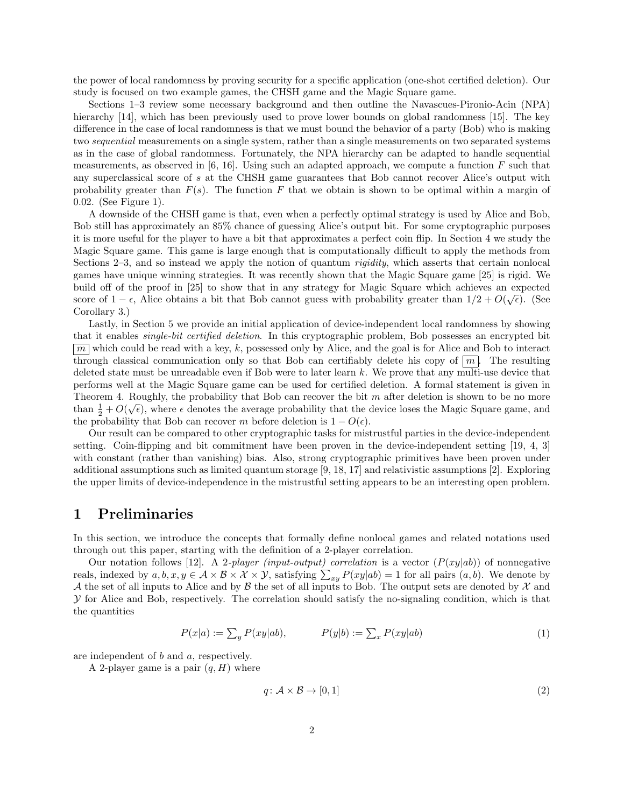the power of local randomness by proving security for a specific application (one-shot certified deletion). Our study is focused on two example games, the CHSH game and the Magic Square game.

Sections 1–3 review some necessary background and then outline the Navascues-Pironio-Acin (NPA) hierarchy [14], which has been previously used to prove lower bounds on global randomness [15]. The key difference in the case of local randomness is that we must bound the behavior of a party (Bob) who is making two sequential measurements on a single system, rather than a single measurements on two separated systems as in the case of global randomness. Fortunately, the NPA hierarchy can be adapted to handle sequential measurements, as observed in  $[6, 16]$ . Using such an adapted approach, we compute a function F such that any superclassical score of s at the CHSH game guarantees that Bob cannot recover Alice's output with probability greater than  $F(s)$ . The function F that we obtain is shown to be optimal within a margin of 0.02. (See Figure 1).

A downside of the CHSH game is that, even when a perfectly optimal strategy is used by Alice and Bob, Bob still has approximately an 85% chance of guessing Alice's output bit. For some cryptographic purposes it is more useful for the player to have a bit that approximates a perfect coin flip. In Section 4 we study the Magic Square game. This game is large enough that is computationally difficult to apply the methods from Sections 2–3, and so instead we apply the notion of quantum *rigidity*, which asserts that certain nonlocal games have unique winning strategies. It was recently shown that the Magic Square game [25] is rigid. We build off of the proof in [25] to show that in any strategy for Magic Square which achieves an expected score of  $1 - \epsilon$ , Alice obtains a bit that Bob cannot guess with probability greater than  $1/2 + O(\sqrt{\epsilon})$ . (See Corollary 3.)

Lastly, in Section 5 we provide an initial application of device-independent local randomness by showing that it enables single-bit certified deletion. In this cryptographic problem, Bob possesses an encrypted bit  $\boxed{m}$  which could be read with a key, k, possessed only by Alice, and the goal is for Alice and Bob to interact through classical communication only so that Bob can certifiably delete his copy of  $\lfloor m \rfloor$ . The resulting deleted state must be unreadable even if Bob were to later learn k. We prove that any multi-use device that performs well at the Magic Square game can be used for certified deletion. A formal statement is given in Theorem 4. Roughly, the probability that Bob can recover the bit  $m$  after deletion is shown to be no more than  $\frac{1}{2} + O(\sqrt{\epsilon})$ , where  $\epsilon$  denotes the average probability that the device loses the Magic Square game, and  $\frac{1}{2} + O(\sqrt{\epsilon})$ , where  $\epsilon$  denotes the average probability that the device loses the Magic Square game, the probability that Bob can recover m before deletion is  $1 - O(\epsilon)$ .

Our result can be compared to other cryptographic tasks for mistrustful parties in the device-independent setting. Coin-flipping and bit commitment have been proven in the device-independent setting [19, 4, 3] with constant (rather than vanishing) bias. Also, strong cryptographic primitives have been proven under additional assumptions such as limited quantum storage [9, 18, 17] and relativistic assumptions [2]. Exploring the upper limits of device-independence in the mistrustful setting appears to be an interesting open problem.

## 1 Preliminaries

In this section, we introduce the concepts that formally define nonlocal games and related notations used through out this paper, starting with the definition of a 2-player correlation.

Our notation follows [12]. A 2-player *(input-output)* correlation is a vector  $(P(xy|ab))$  of nonnegative reals, indexed by  $a, b, x, y \in A \times B \times X \times Y$ , satisfying  $\sum_{xy} P(xy|ab) = 1$  for all pairs  $(a, b)$ . We denote by A the set of all inputs to Alice and by B the set of all inputs to Bob. The output sets are denoted by  $\mathcal X$  and  $\mathcal Y$  for Alice and Bob, respectively. The correlation should satisfy the no-signaling condition, which is that the quantities

$$
P(x|a) := \sum_{y} P(xy|ab), \qquad P(y|b) := \sum_{x} P(xy|ab) \tag{1}
$$

are independent of b and a, respectively.

A 2-player game is a pair  $(q, H)$  where

$$
q: \mathcal{A} \times \mathcal{B} \to [0, 1] \tag{2}
$$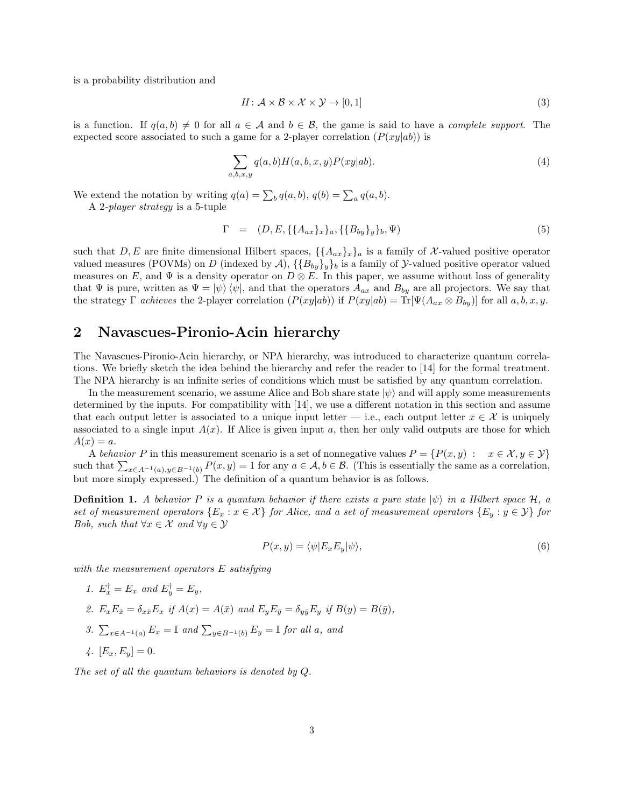is a probability distribution and

$$
H: \mathcal{A} \times \mathcal{B} \times \mathcal{X} \times \mathcal{Y} \to [0, 1]
$$
\n<sup>(3)</sup>

is a function. If  $q(a, b) \neq 0$  for all  $a \in \mathcal{A}$  and  $b \in \mathcal{B}$ , the game is said to have a *complete support*. The expected score associated to such a game for a 2-player correlation  $(P(xy|ab))$  is

$$
\sum_{a,b,x,y} q(a,b)H(a,b,x,y)P(xy|ab).
$$
 (4)

We extend the notation by writing  $q(a) = \sum_b q(a, b), q(b) = \sum_a q(a, b).$ 

A 2-player strategy is a 5-tuple

$$
\Gamma = (D, E, \{\{A_{ax}\}_x\}_a, \{\{B_{by}\}_y\}_b, \Psi)
$$
\n(5)

such that  $D, E$  are finite dimensional Hilbert spaces,  $\{\{A_{ax}\}_x\}_a$  is a family of X-valued positive operator valued measures (POVMs) on D (indexed by  $\mathcal{A}$ ),  $\{\{B_{by}\}_y\}_b$  is a family of  $\mathcal{Y}$ -valued positive operator valued measures on E, and  $\Psi$  is a density operator on  $D \otimes E$ . In this paper, we assume without loss of generality that  $\Psi$  is pure, written as  $\Psi = |\psi\rangle \langle \psi|$ , and that the operators  $A_{ax}$  and  $B_{bu}$  are all projectors. We say that the strategy Γ achieves the 2-player correlation  $(P(xy|ab))$  if  $P(xy|ab) = \text{Tr}[\Psi(A_{ax} \otimes B_{by})]$  for all a, b, x, y.

#### 2 Navascues-Pironio-Acin hierarchy

The Navascues-Pironio-Acin hierarchy, or NPA hierarchy, was introduced to characterize quantum correlations. We briefly sketch the idea behind the hierarchy and refer the reader to [14] for the formal treatment. The NPA hierarchy is an infinite series of conditions which must be satisfied by any quantum correlation.

In the measurement scenario, we assume Alice and Bob share state  $|\psi\rangle$  and will apply some measurements determined by the inputs. For compatibility with [14], we use a different notation in this section and assume that each output letter is associated to a unique input letter — i.e., each output letter  $x \in \mathcal{X}$  is uniquely associated to a single input  $A(x)$ . If Alice is given input a, then her only valid outputs are those for which  $A(x) = a$ .

A behavior P in this measurement scenario is a set of nonnegative values  $P = \{P(x, y) : x \in \mathcal{X}, y \in \mathcal{Y}\}\$ such that  $\sum_{x \in A^{-1}(a), y \in B^{-1}(b)} P(x, y) = 1$  for any  $a \in A, b \in \mathcal{B}$ . (This is essentially the same as a correlation, but more simply expressed.) The definition of a quantum behavior is as follows.

**Definition 1.** A behavior P is a quantum behavior if there exists a pure state  $|\psi\rangle$  in a Hilbert space H, a set of measurement operators  $\{E_x : x \in \mathcal{X}\}\$  for Alice, and a set of measurement operators  $\{E_y : y \in \mathcal{Y}\}\$ for Bob, such that  $\forall x \in \mathcal{X}$  and  $\forall y \in \mathcal{Y}$ 

$$
P(x,y) = \langle \psi | E_x E_y | \psi \rangle,\tag{6}
$$

with the measurement operators E satisfying

- 1.  $E_x^{\dagger} = E_x$  and  $E_y^{\dagger} = E_y$ ,
- 2.  $E_x E_{\bar{x}} = \delta_{x\bar{x}} E_x$  if  $A(x) = A(\bar{x})$  and  $E_y E_{\bar{y}} = \delta_{y\bar{y}} E_y$  if  $B(y) = B(\bar{y})$ ,
- 3.  $\sum_{x \in A^{-1}(a)} E_x = \mathbb{I}$  and  $\sum_{y \in B^{-1}(b)} E_y = \mathbb{I}$  for all a, and
- 4.  $[E_x, E_y] = 0.$

The set of all the quantum behaviors is denoted by Q.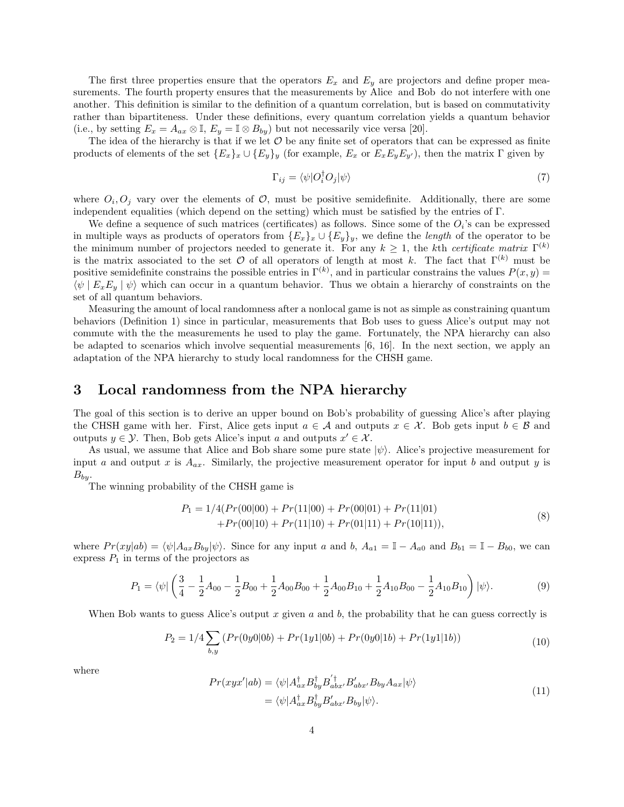The first three properties ensure that the operators  $E_x$  and  $E_y$  are projectors and define proper measurements. The fourth property ensures that the measurements by Alice and Bob do not interfere with one another. This definition is similar to the definition of a quantum correlation, but is based on commutativity rather than bipartiteness. Under these definitions, every quantum correlation yields a quantum behavior (i.e., by setting  $E_x = A_{ax} \otimes \mathbb{I}$ ,  $E_y = \mathbb{I} \otimes B_{by}$ ) but not necessarily vice versa [20].

The idea of the hierarchy is that if we let  $\mathcal O$  be any finite set of operators that can be expressed as finite products of elements of the set  $\{E_x\}_x \cup \{E_y\}_y$  (for example,  $E_x$  or  $E_xE_yE_{y'}$ ), then the matrix  $\Gamma$  given by

$$
\Gamma_{ij} = \langle \psi | O_i^{\dagger} O_j | \psi \rangle \tag{7}
$$

where  $O_i, O_j$  vary over the elements of  $O$ , must be positive semidefinite. Additionally, there are some independent equalities (which depend on the setting) which must be satisfied by the entries of  $\Gamma$ .

We define a sequence of such matrices (certificates) as follows. Since some of the  $O_i$ 's can be expressed in multiple ways as products of operators from  $\{E_x\}_x \cup \{E_y\}_y$ , we define the *length* of the operator to be the minimum number of projectors needed to generate it. For any  $k \geq 1$ , the kth certificate matrix  $\Gamma^{(k)}$ is the matrix associated to the set  $\mathcal O$  of all operators of length at most k. The fact that  $\Gamma^{(k)}$  must be positive semidefinite constrains the possible entries in  $\Gamma^{(k)}$ , and in particular constrains the values  $P(x, y) =$  $\langle \psi | E_x E_y | \psi \rangle$  which can occur in a quantum behavior. Thus we obtain a hierarchy of constraints on the set of all quantum behaviors.

Measuring the amount of local randomness after a nonlocal game is not as simple as constraining quantum behaviors (Definition 1) since in particular, measurements that Bob uses to guess Alice's output may not commute with the the measurements he used to play the game. Fortunately, the NPA hierarchy can also be adapted to scenarios which involve sequential measurements [6, 16]. In the next section, we apply an adaptation of the NPA hierarchy to study local randomness for the CHSH game.

#### 3 Local randomness from the NPA hierarchy

The goal of this section is to derive an upper bound on Bob's probability of guessing Alice's after playing the CHSH game with her. First, Alice gets input  $a \in \mathcal{A}$  and outputs  $x \in \mathcal{X}$ . Bob gets input  $b \in \mathcal{B}$  and outputs  $y \in \mathcal{Y}$ . Then, Bob gets Alice's input a and outputs  $x' \in \mathcal{X}$ .

As usual, we assume that Alice and Bob share some pure state  $|\psi\rangle$ . Alice's projective measurement for input a and output x is  $A_{ax}$ . Similarly, the projective measurement operator for input b and output y is  $B_{bu}$ .

The winning probability of the CHSH game is

$$
P_1 = 1/4(Pr(00|00) + Pr(11|00) + Pr(00|01) + Pr(11|01) + Pr(00|10) + Pr(11|10) + Pr(01|11) + Pr(10|11)),
$$
(8)

where  $Pr(xy|ab) = \langle \psi | A_{ax}B_{by} | \psi \rangle$ . Since for any input a and b,  $A_{a1} = \mathbb{I} - A_{a0}$  and  $B_{b1} = \mathbb{I} - B_{b0}$ , we can express  $P_1$  in terms of the projectors as

$$
P_1 = \langle \psi | \left( \frac{3}{4} - \frac{1}{2} A_{00} - \frac{1}{2} B_{00} + \frac{1}{2} A_{00} B_{00} + \frac{1}{2} A_{00} B_{10} + \frac{1}{2} A_{10} B_{00} - \frac{1}{2} A_{10} B_{10} \right) |\psi\rangle.
$$
 (9)

When Bob wants to guess Alice's output x given a and b, the probability that he can guess correctly is

$$
P_2 = 1/4 \sum_{b,y} \left( \Pr(0y0|0b) + \Pr(1y1|0b) + \Pr(0y0|1b) + \Pr(1y1|1b) \right) \tag{10}
$$

where  
\n
$$
Pr(xyx'|ab) = \langle \psi | A_{ax}^{\dagger} B_{by}^{\dagger} B_{abx'}^{\dagger} B_{bxy}^{\prime} A_{ax} | \psi \rangle
$$
\n
$$
= \langle \psi | A_{ax}^{\dagger} B_{by}^{\dagger} B_{abx'}^{\prime} B_{by} | \psi \rangle.
$$
\n(11)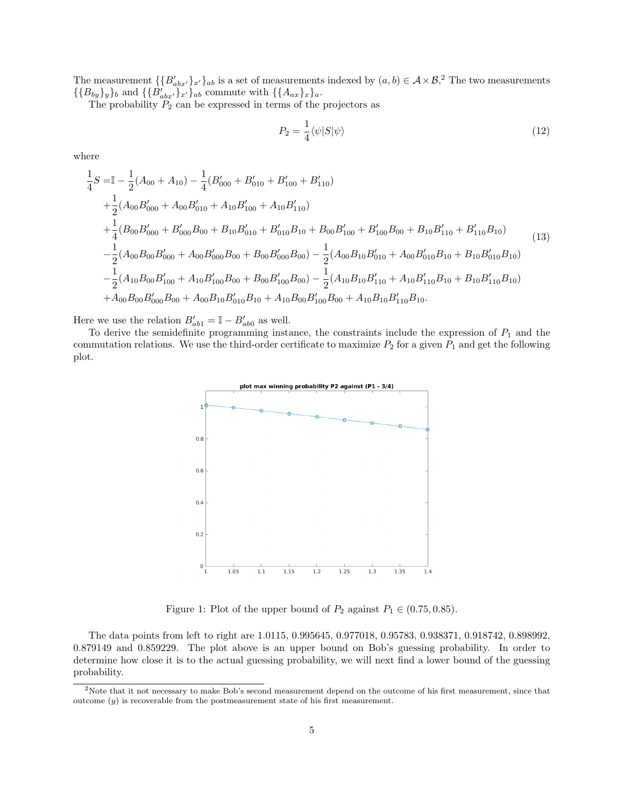The measurement  $\{\{B'_{abx'}\}_x\}_{ab}$  is a set of measurements indexed by  $(a, b) \in A \times B$ ,<sup>2</sup> The two measurements  $\{ {B_{by}}\}_y\}_b$  and  $\{\{\overrightarrow{B_{abx'}\}_x}\}_{ab}$  commute with  $\{ {A_{ax}}\}_x\}_a$ .

The probability  $P_2$  can be expressed in terms of the projectors as

$$
P_2 = \frac{1}{4} \langle \psi | S | \psi \rangle \tag{12}
$$

where

$$
\frac{1}{4}S = I - \frac{1}{2}(A_{00} + A_{10}) - \frac{1}{4}(B'_{000} + B'_{010} + B'_{100} + B'_{110}) \n+ \frac{1}{2}(A_{00}B'_{000} + A_{00}B'_{010} + A_{10}B'_{100} + A_{10}B'_{110}) \n+ \frac{1}{4}(B_{00}B'_{000} + B'_{000}B_{00} + B_{10}B'_{010} + B'_{010}B_{10} + B_{00}B'_{100} + B'_{100}B_{00} + B_{10}B'_{110} + B'_{110}B_{10}) \n- \frac{1}{2}(A_{00}B_{00}B'_{000} + A_{00}B'_{000}B_{00} + B_{00}B'_{000}B_{00}) - \frac{1}{2}(A_{00}B_{10}B'_{010} + A_{00}B'_{010}B_{10} + B_{10}B'_{010}B_{10}) \n- \frac{1}{2}(A_{10}B_{00}B'_{100} + A_{10}B'_{100}B_{00} + B_{00}B'_{100}B_{00}) - \frac{1}{2}(A_{10}B_{10}B'_{110} + A_{10}B'_{110}B_{10} + B_{10}B'_{110}B_{10}) \n+ A_{00}B_{00}B'_{000}B_{00} + A_{00}B_{10}B'_{010}B_{10} + A_{10}B_{00}B'_{100}B_{00} + A_{10}B_{10}B'_{110}B_{10}.
$$
\n(13)

Here we use the relation  $B'_{ab1} = \mathbb{I} - B'_{ab0}$  as well.

To derive the semidefinite programming instance, the constraints include the expression of  $P_1$  and the commutation relations. We use the third-order certificate to maximize  $P_2$  for a given  $P_1$  and get the following plot.



Figure 1: Plot of the upper bound of  $P_2$  against  $P_1 \in (0.75, 0.85)$ .

The data points from left to right are 1.0115, 0.995645, 0.977018, 0.95783, 0.938371, 0.918742, 0.898992, 0.879149 and 0.859229. The plot above is an upper bound on Bob's guessing probability. In order to determine how close it is to the actual guessing probability, we will next find a lower bound of the guessing probability.

<sup>2</sup>Note that it not necessary to make Bob's second measurement depend on the outcome of his first measurement, since that outcome  $\left(y\right)$  is recoverable from the postmeasurement state of his first measurement.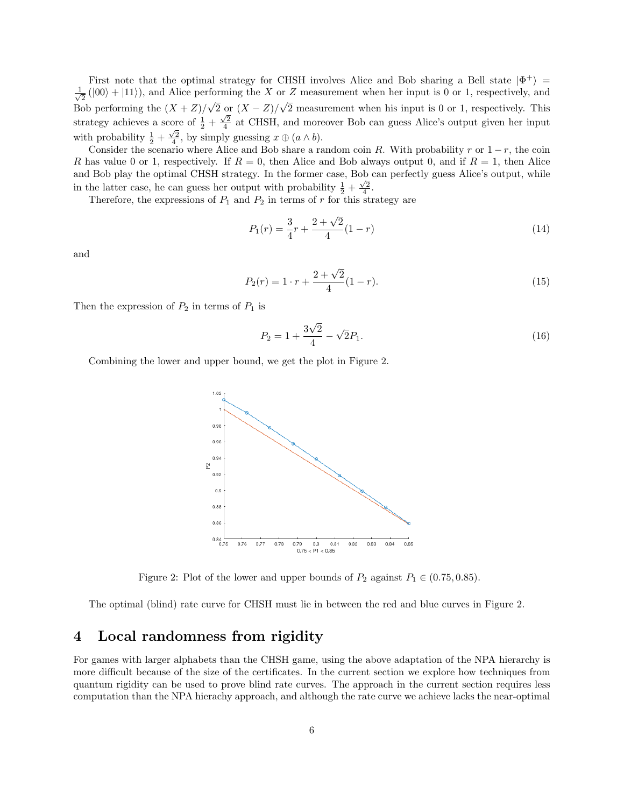First note that the optimal strategy for CHSH involves Alice and Bob sharing a Bell state  $|\Phi^+\rangle$  =  $\frac{1}{\sqrt{2}}(|00\rangle + |11\rangle)$ , and Alice performing the X or Z measurement when her input is 0 or 1, respectively, and Bob performing the  $(X + Z)/\sqrt{2}$  or  $(X - Z)/\sqrt{2}$  measurement when his input is 0 or 1, respectively. This strategy achieves a score of  $\frac{1}{2} + \frac{\sqrt{2}}{4}$  at CHSH, and moreover Bob can guess Alice's output given her input with probability  $\frac{1}{2} + \frac{\sqrt{2}}{4}$ , by simply guessing  $x \oplus (a \wedge b)$ .

Consider the scenario where Alice and Bob share a random coin R. With probability r or  $1 - r$ , the coin R has value 0 or 1, respectively. If  $R = 0$ , then Alice and Bob always output 0, and if  $R = 1$ , then Alice and Bob play the optimal CHSH strategy. In the former case, Bob can perfectly guess Alice's output, while in the latter case, he can guess her output with probability  $\frac{1}{2} + \frac{\sqrt{2}}{4}$ .

Therefore, the expressions of  $P_1$  and  $P_2$  in terms of r for this strategy are

$$
P_1(r) = \frac{3}{4}r + \frac{2+\sqrt{2}}{4}(1-r)
$$
\n(14)

and

$$
P_2(r) = 1 \cdot r + \frac{2 + \sqrt{2}}{4} (1 - r). \tag{15}
$$

Then the expression of  $P_2$  in terms of  $P_1$  is

$$
P_2 = 1 + \frac{3\sqrt{2}}{4} - \sqrt{2}P_1.
$$
\n(16)

Combining the lower and upper bound, we get the plot in Figure 2.



Figure 2: Plot of the lower and upper bounds of  $P_2$  against  $P_1 \in (0.75, 0.85)$ .

The optimal (blind) rate curve for CHSH must lie in between the red and blue curves in Figure 2.

#### Local randomness from rigidity 4

For games with larger alphabets than the CHSH game, using the above adaptation of the NPA hierarchy is more difficult because of the size of the certificates. In the current section we explore how techniques from quantum rigidity can be used to prove blind rate curves. The approach in the current section requires less computation than the NPA hierachy approach, and although the rate curve we achieve lacks the near-optimal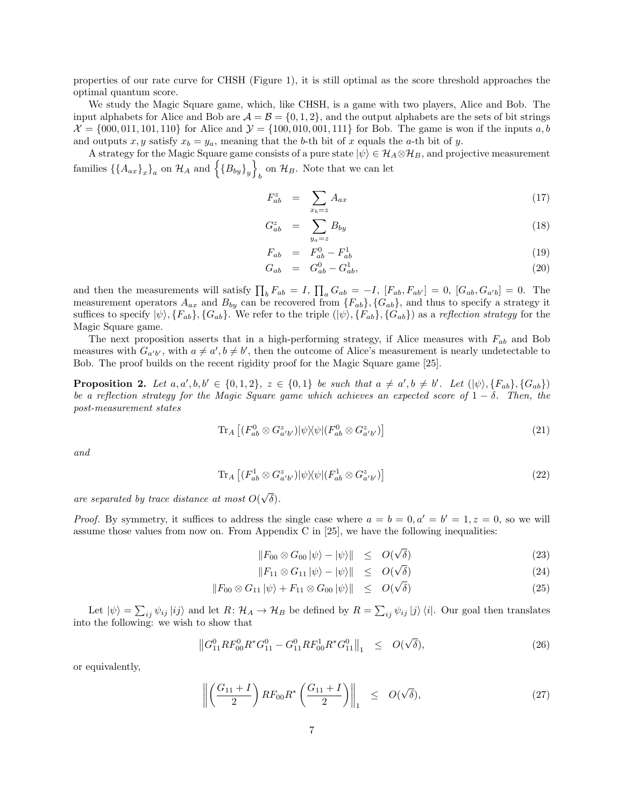properties of our rate curve for CHSH (Figure 1), it is still optimal as the score threshold approaches the optimal quantum score.

We study the Magic Square game, which, like CHSH, is a game with two players, Alice and Bob. The input alphabets for Alice and Bob are  $\mathcal{A} = \mathcal{B} = \{0, 1, 2\}$ , and the output alphabets are the sets of bit strings  $\mathcal{X} = \{000, 011, 101, 110\}$  for Alice and  $\mathcal{Y} = \{100, 010, 001, 111\}$  for Bob. The game is won if the inputs  $a, b$ and outputs x, y satisfy  $x_b = y_a$ , meaning that the b-th bit of x equals the a-th bit of y.

A strategy for the Magic Square game consists of a pure state  $|\psi\rangle \in \mathcal{H}_A \otimes \mathcal{H}_B$ , and projective measurement families  $\{\{A_{ax}\}_x\}_a$  on  $\mathcal{H}_A$  and  $\{B_{by}\}_y\}_b$  on  $\mathcal{H}_B$ . Note that we can let

$$
F_{ab}^z = \sum_{x_b = z} A_{ax} \tag{17}
$$

$$
G_{ab}^z = \sum_{y_a=z}^{x_b=z} B_{by} \tag{18}
$$

$$
F_{ab} = F_{ab}^0 - F_{ab}^1 \tag{19}
$$

$$
G_{ab} = G_{ab}^0 - G_{ab}^1,\tag{20}
$$

and then the measurements will satisfy  $\prod_b F_{ab} = I$ ,  $\prod_a G_{ab} = -I$ ,  $[F_{ab}, F_{ab'}] = 0$ ,  $[G_{ab}, G_{a'b}] = 0$ . The Magic Square game. measurement operators  $A_{ax}$  and  $B_{by}$  can be recovered from  $\{F_{ab}\}, \{G_{ab}\},$  and thus to specify a strategy it suffices to specify  $|\psi\rangle$ ,  $\{F_{ab}\}$ ,  $\{G_{ab}\}$ . We refer to the triple  $(|\psi\rangle, \{F_{ab}\}, \{G_{ab}\})$  as a reflection strategy for the

measures with  $G_{a'b'}$ , with  $a \neq a', b \neq b'$ , then the outcome of Alice's measurement is nearly undetectable to The next proposition asserts that in a high-performing strategy, if Alice measures with  $F_{ab}$  and Bob Bob. The proof builds on the recent rigidity proof for the Magic Square game [25].

**Proposition 2.** Let  $a, a', b, b' \in \{0, 1, 2\}$ ,  $z \in \{0, 1\}$  be such that  $a \neq a', b \neq b'$ . Let  $(|\psi\rangle, \{F_{ab}\}, \{G_{ab}\})$ be a reflection strategy for the Magic Square game which achieves an expected score of  $1 - \delta$ . Then, the post-measurement states

$$
\operatorname{Tr}_{A}\left[ (F^{0}_{ab}\otimes G^{z}_{a'b'})|\psi\rangle\langle\psi|(F^{0}_{ab}\otimes G^{z}_{a'b'})\right]
$$
\n(21)

and

$$
\operatorname{Tr}_{A}\left[ \left( F_{ab}^{1} \otimes G_{a'b'}^{z} \right) \middle| \psi \right\rangle\!\!\left\langle \psi \middle| \left( F_{ab}^{1} \otimes G_{a'b'}^{z} \right) \right] \tag{22}
$$

are separated by trace distance at most  $O(\sqrt{\delta}).$ 

*Proof.* By symmetry, it suffices to address the single case where  $a = b = 0, a' = b' = 1, z = 0$ , so we will assume those values from now on. From Appendix C in [25], we have the following inequalities:

$$
||F_{00} \otimes G_{00} |\psi\rangle - |\psi\rangle|| \leq O(\sqrt{\delta}) \tag{23}
$$

$$
||F_{11} \otimes G_{11} ||\psi\rangle - ||\psi\rangle|| \leq O(\sqrt{\delta}) \tag{24}
$$

$$
||F_{00} \otimes G_{11} |\psi\rangle + F_{11} \otimes G_{00} |\psi\rangle|| \leq O(\sqrt{\delta})
$$
\n(25)

Let  $|\psi\rangle = \sum_{ij} \psi_{ij} |ij\rangle$  and let  $R: \mathcal{H}_A \to \mathcal{H}_B$  be defined by  $R = \sum_{ij} \psi_{ij} |j\rangle \langle i|$ . Our goal then translates into the following: we wish to show that

$$
\left\|G_{11}^0 R F_{00}^0 R^* G_{11}^0 - G_{11}^0 R F_{00}^1 R^* G_{11}^0\right\|_1 \leq O(\sqrt{\delta}),\tag{26}
$$

or equivalently,

$$
\left\| \left( \frac{G_{11} + I}{2} \right) R F_{00} R^* \left( \frac{G_{11} + I}{2} \right) \right\|_1 \le O(\sqrt{\delta}), \tag{27}
$$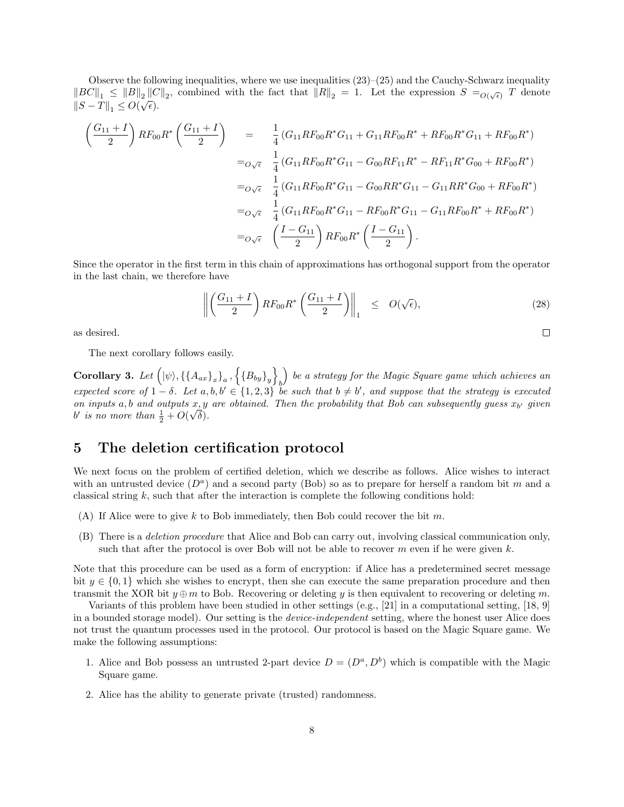Observe the following inequalities, where we use inequalities  $(23)$ – $(25)$  and the Cauchy-Schwarz inequality  $\|BC\|_1 \leq \|B\|_2 \|C\|_2$ , combined with the fact that  $\|R\|_2 = 1$ . Let the expression  $S = O(\sqrt{\epsilon})$  *T* denote  $||S - T||_1 \leq O(\sqrt{\epsilon}).$ 

$$
\begin{aligned}\n\left(\frac{G_{11}+I}{2}\right) R F_{00} R^* \left(\frac{G_{11}+I}{2}\right) &= \frac{1}{4} \left(G_{11} R F_{00} R^* G_{11} + G_{11} R F_{00} R^* + R F_{00} R^* G_{11} + R F_{00} R^*\right) \\
&= {}_{{O}\sqrt{\epsilon}} \quad \frac{1}{4} \left(G_{11} R F_{00} R^* G_{11} - G_{00} R F_{11} R^* - R F_{11} R^* G_{00} + R F_{00} R^*\right) \\
&= {}_{{O}\sqrt{\epsilon}} \quad \frac{1}{4} \left(G_{11} R F_{00} R^* G_{11} - G_{00} R R^* G_{11} - G_{11} R R^* G_{00} + R F_{00} R^*\right) \\
&= {}_{{O}\sqrt{\epsilon}} \quad \frac{1}{4} \left(G_{11} R F_{00} R^* G_{11} - R F_{00} R^* G_{11} - G_{11} R F_{00} R^* + R F_{00} R^*\right) \\
&= {}_{{O}\sqrt{\epsilon}} \quad \left(\frac{I - G_{11}}{2}\right) R F_{00} R^* \left(\frac{I - G_{11}}{2}\right).\n\end{aligned}
$$

Since the operator in the first term in this chain of approximations has orthogonal support from the operator in the last chain, we therefore have

$$
\left\| \left( \frac{G_{11} + I}{2} \right) R F_{00} R^* \left( \frac{G_{11} + I}{2} \right) \right\|_1 \le O(\sqrt{\epsilon}), \tag{28}
$$

 $\Box$ 

as desired.

The next corollary follows easily.

**Corollary 3.** Let  $((\psi), \{\{A_{ax}\}_x\}_a, \{\{B_{by}\}_y\}_b)$  be a strategy for the Magic Square game which achieves an expected score of  $1-\delta$ . Let  $a, b, b' \in \{1, 2, 3\}$  be such that  $b \neq b'$ , and suppose that the strategy is executed on inputs a, b and outputs  $x, y$  are obtained. Then the probability that Bob can subsequently guess  $x_{b'}$  given b' is no more than  $\frac{1}{2} + O(\sqrt{\delta}).$ 

#### 5 The deletion certification protocol

We next focus on the problem of certified deletion, which we describe as follows. Alice wishes to interact with an untrusted device  $(D^a)$  and a second party (Bob) so as to prepare for herself a random bit m and a classical string  $k$ , such that after the interaction is complete the following conditions hold:

- (A) If Alice were to give k to Bob immediately, then Bob could recover the bit m.
- (B) There is a deletion procedure that Alice and Bob can carry out, involving classical communication only, such that after the protocol is over Bob will not be able to recover  $m$  even if he were given  $k$ .

Note that this procedure can be used as a form of encryption: if Alice has a predetermined secret message bit  $y \in \{0,1\}$  which she wishes to encrypt, then she can execute the same preparation procedure and then transmit the XOR bit  $y \oplus m$  to Bob. Recovering or deleting y is then equivalent to recovering or deleting m.

Variants of this problem have been studied in other settings (e.g., [21] in a computational setting, [18, 9] in a bounded storage model). Our setting is the device-independent setting, where the honest user Alice does not trust the quantum processes used in the protocol. Our protocol is based on the Magic Square game. We make the following assumptions:

- 1. Alice and Bob possess an untrusted 2-part device  $D = (D^a, D^b)$  which is compatible with the Magic Square game.
- 2. Alice has the ability to generate private (trusted) randomness.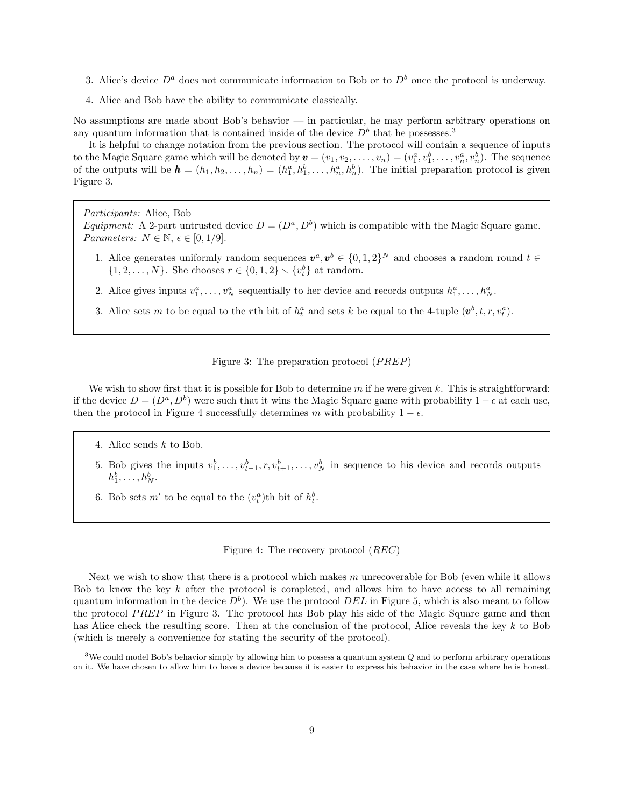- 3. Alice's device  $D^a$  does not communicate information to Bob or to  $D^b$  once the protocol is underway.
- 4. Alice and Bob have the ability to communicate classically.

No assumptions are made about Bob's behavior — in particular, he may perform arbitrary operations on any quantum information that is contained inside of the device  $D<sup>b</sup>$  that he possesses.<sup>3</sup>

It is helpful to change notation from the previous section. The protocol will contain a sequence of inputs  $a_1^a, v_1^b, \ldots, v$ ). The initial preparation protocol is given to the Magic Square game which will be denoted by  $\mathbf{v} = (v_1, v_2, \dots, v_n) = (v_1^a, v_1^b, \dots, v_n^a, v_n^b)$ . The sequence of the outputs will be  $\mathbf{h} = (h_1, h_2, \dots, h_n) = (h_1^a, h_1^b, \dots, h_n^a, h_n^b)$ Figure 3.

Participants: Alice, Bob

*Equipment:* A 2-part untrusted device  $D = (D^a, D^b)$  which is compatible with the Magic Square game. Parameters:  $N \in \mathbb{N}, \epsilon \in [0, 1/9].$ 

- 1. Alice generates uniformly random sequences  $v^a, v^b \in \{0, 1, 2\}^N$  and chooses a random round  $t \in$  $\{1, 2, \ldots, N\}$ . She chooses  $r \in \{0, 1, 2\} \setminus \{v_t^b\}$  at random.
- 2. Alice gives inputs  $v_1^a, \ldots, v_N^a$  sequentially to her device and records outputs  $h_1^a, \ldots, h_N^a$ .
- 3. Alice sets m to be equal to the rth bit of  $h_t^a$  and sets k be equal to the 4-tuple  $(\mathbf{v}^b, t, r, v_t^a)$ .

### Figure 3: The preparation protocol (PREP)

We wish to show first that it is possible for Bob to determine  $m$  if he were given k. This is straightforward: if the device  $D = (D^a, D^b)$  were such that it wins the Magic Square game with probability  $1 - \epsilon$  at each use, then the protocol in Figure 4 successfully determines m with probability  $1 - \epsilon$ .

- 4. Alice sends k to Bob.
- 5. Bob gives the inputs  $v_1^b, \ldots, v_{t-1}^b, r, v_{t+1}^b, \ldots, v_N^b$  in sequence to his device and records outputs  $h_1^b, \ldots, h_N^b$ .
- 6. Bob sets  $m'$  to be equal to the  $(v_t^a)$ th bit of  $h_t^b$ .

Figure 4: The recovery protocol (REC)

Next we wish to show that there is a protocol which makes  $m$  unrecoverable for Bob (even while it allows Bob to know the key  $k$  after the protocol is completed, and allows him to have access to all remaining quantum information in the device  $D^b$ . We use the protocol  $DEL$  in Figure 5, which is also meant to follow the protocol PREP in Figure 3. The protocol has Bob play his side of the Magic Square game and then has Alice check the resulting score. Then at the conclusion of the protocol, Alice reveals the key k to Bob (which is merely a convenience for stating the security of the protocol).

<sup>&</sup>lt;sup>3</sup>We could model Bob's behavior simply by allowing him to possess a quantum system Q and to perform arbitrary operations on it. We have chosen to allow him to have a device because it is easier to express his behavior in the case where he is honest.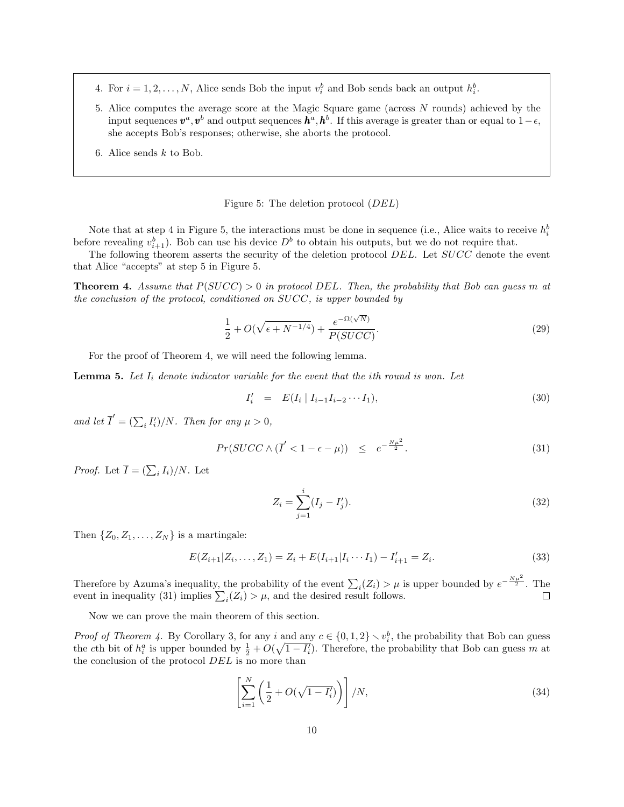- 4. For  $i = 1, 2, ..., N$ , Alice sends Bob the input  $v_i^b$  and Bob sends back an output  $h_i^b$ .
- 5. Alice computes the average score at the Magic Square game (across N rounds) achieved by the input sequences  $\mathbf{v}^a, \mathbf{v}^b$  and output sequences  $\mathbf{h}^a, \mathbf{h}^b$ . If this average is greater than or equal to 1– $\epsilon$ . she accepts Bob's responses; otherwise, she aborts the protocol.
- 6. Alice sends  $k$  to Bob.

Figure 5: The deletion protocol (DEL)

Note that at step 4 in Figure 5, the interactions must be done in sequence (i.e., Alice waits to receive  $h_i^b$ before revealing  $v_{i+1}^b$ . Bob can use his device  $D^b$  to obtain his outputs, but we do not require that.

The following theorem asserts the security of the deletion protocol DEL. Let SUCC denote the event that Alice "accepts" at step 5 in Figure 5.

**Theorem 4.** Assume that  $P(SUCC) > 0$  in protocol DEL. Then, the probability that Bob can guess m at the conclusion of the protocol, conditioned on SUCC, is upper bounded by

$$
\frac{1}{2} + O(\sqrt{\epsilon + N^{-1/4}}) + \frac{e^{-\Omega(\sqrt{N})}}{P(SUCC)}.
$$
\n
$$
(29)
$$

For the proof of Theorem 4, we will need the following lemma.

**Lemma 5.** Let  $I_i$  denote indicator variable for the event that the ith round is won. Let

$$
I'_i = E(I_i | I_{i-1}I_{i-2} \cdots I_1), \tag{30}
$$

and let  $\overline{I}' = (\sum_i I'_i)/N$ . Then for any  $\mu > 0$ ,

$$
Pr(SUCC \wedge (\overline{I}' < 1 - \epsilon - \mu)) \leq e^{-\frac{N\mu^2}{2}}.\tag{31}
$$

*Proof.* Let  $\overline{I} = (\sum_i I_i)/N$ . Let

$$
Z_i = \sum_{j=1}^i (I_j - I'_j). \tag{32}
$$

Then  $\{Z_0, Z_1, \ldots, Z_N\}$  is a martingale:

$$
E(Z_{i+1}|Z_i,\ldots,Z_1) = Z_i + E(I_{i+1}|I_i\cdots I_1) - I'_{i+1} = Z_i.
$$
\n(33)

Therefore by Azuma's inequality, the probability of the event  $\sum_i(Z_i) > \mu$  is upper bounded by  $e^{-\frac{N\mu^2}{2}}$ . The event in inequality (31) implies  $\sum_i (Z_i) > \mu$ , and the desired result follows.

Now we can prove the main theorem of this section.

*Proof of Theorem 4.* By Corollary 3, for any i and any  $c \in \{0, 1, 2\} \setminus v_i^b$ , the probability that Bob can guess the cth bit of  $h_i^a$  is upper bounded by  $\frac{1}{2} + O(\sqrt{1 - I_i'})$ . Therefore, the probability that Bob can guess m at the conclusion of the protocol DEL is no more than

$$
\left[\sum_{i=1}^{N} \left(\frac{1}{2} + O(\sqrt{1 - I'_i})\right)\right] / N,
$$
\n(34)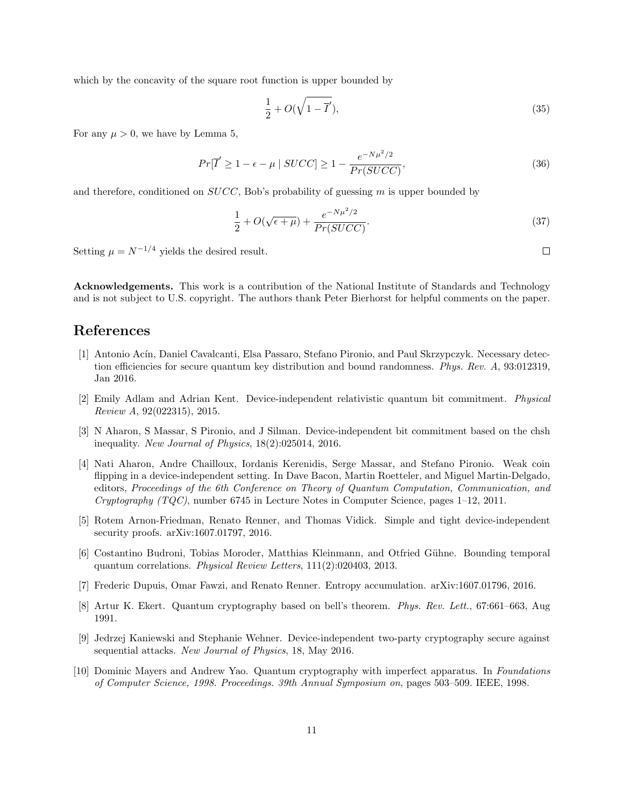which by the concavity of the square root function is upper bounded by

$$
\frac{1}{2} + O(\sqrt{1 - \overline{I}'}),\tag{35}
$$

For any  $\mu > 0$ , we have by Lemma 5,

$$
Pr[\overline{I'} \ge 1 - \epsilon - \mu \mid SUCC] \ge 1 - \frac{e^{-N\mu^2/2}}{Pr(SUCC)},
$$
\n(36)

and therefore, conditioned on  $SUCC$ , Bob's probability of guessing m is upper bounded by

$$
\frac{1}{2} + O(\sqrt{\epsilon + \mu}) + \frac{e^{-N\mu^2/2}}{Pr(SUCC)}.
$$
\n(37)

Setting  $\mu = N^{-1/4}$  yields the desired result.

Acknowledgements. This work is a contribution of the National Institute of Standards and Technology and is not subject to U.S. copyright. The authors thank Peter Bierhorst for helpful comments on the paper.

# References

- [1] Antonio Acín, Daniel Cavalcanti, Elsa Passaro, Stefano Pironio, and Paul Skrzypczyk. Necessary detection efficiencies for secure quantum key distribution and bound randomness. Phys. Rev. A, 93:012319, Jan 2016.
- [2] Emily Adlam and Adrian Kent. Device-independent relativistic quantum bit commitment. Physical Review A, 92(022315), 2015.
- [3] N Aharon, S Massar, S Pironio, and J Silman. Device-independent bit commitment based on the chsh inequality. New Journal of Physics, 18(2):025014, 2016.
- [4] Nati Aharon, Andre Chailloux, Iordanis Kerenidis, Serge Massar, and Stefano Pironio. Weak coin flipping in a device-independent setting. In Dave Bacon, Martin Roetteler, and Miguel Martin-Delgado, editors, Proceedings of the 6th Conference on Theory of Quantum Computation, Communication, and Cryptography  $(TQC)$ , number 6745 in Lecture Notes in Computer Science, pages 1–12, 2011.
- [5] Rotem Arnon-Friedman, Renato Renner, and Thomas Vidick. Simple and tight device-independent security proofs. arXiv:1607.01797, 2016.
- [6] Costantino Budroni, Tobias Moroder, Matthias Kleinmann, and Otfried Gühne. Bounding temporal quantum correlations. Physical Review Letters, 111(2):020403, 2013.
- [7] Frederic Dupuis, Omar Fawzi, and Renato Renner. Entropy accumulation. arXiv:1607.01796, 2016.
- [8] Artur K. Ekert. Quantum cryptography based on bell's theorem. Phys. Rev. Lett., 67:661–663, Aug 1991.
- [9] Jedrzej Kaniewski and Stephanie Wehner. Device-independent two-party cryptography secure against sequential attacks. New Journal of Physics, 18, May 2016.
- [10] Dominic Mayers and Andrew Yao. Quantum cryptography with imperfect apparatus. In Foundations of Computer Science, 1998. Proceedings. 39th Annual Symposium on, pages 503–509. IEEE, 1998.

 $\Box$